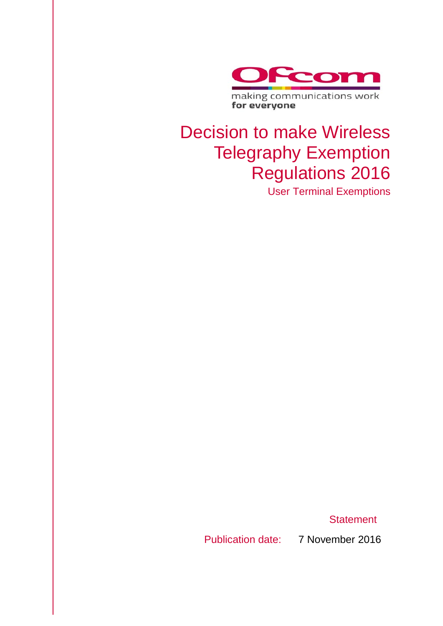

## Decision to make Wireless Telegraphy Exemption Regulations 2016

User Terminal Exemptions

**Statement** 

Publication date: 7 November 2016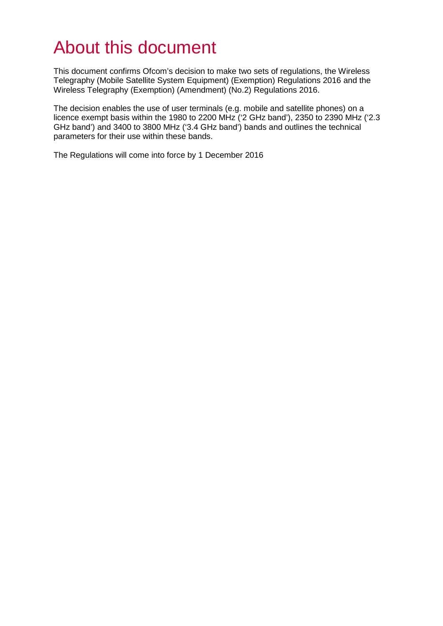## About this document

This document confirms Ofcom's decision to make two sets of regulations, the Wireless Telegraphy (Mobile Satellite System Equipment) (Exemption) Regulations 2016 and the Wireless Telegraphy (Exemption) (Amendment) (No.2) Regulations 2016.

The decision enables the use of user terminals (e.g. mobile and satellite phones) on a licence exempt basis within the 1980 to 2200 MHz ('2 GHz band'), 2350 to 2390 MHz ('2.3 GHz band') and 3400 to 3800 MHz ('3.4 GHz band') bands and outlines the technical parameters for their use within these bands.

The Regulations will come into force by 1 December 2016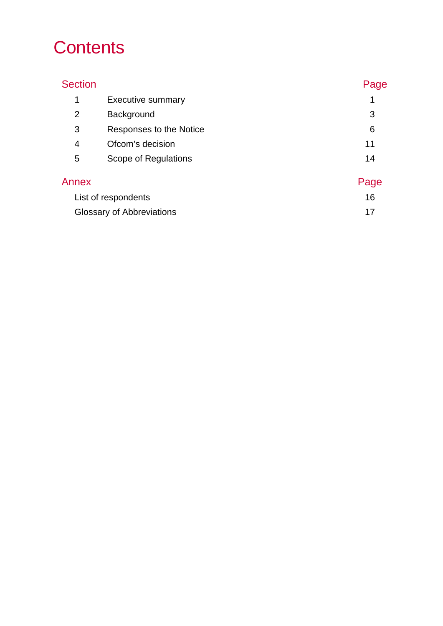## **Contents**

## Section **Page** 1 [Executive summary](#page-4-0) 1 2 [Background](#page-6-0) 3 3 [Responses to the Notice](#page-9-0) 6 and 100 minutes of 6 and 100 minutes of 6 and 100 minutes of 6 and 100 minutes of 6 and 100 minutes of 6 and 100 minutes of 6 and 100 minutes of 6 and 100 minutes of 6 and 100 minutes of 6 and 1 4 [Ofcom's decision](#page-14-0) 11 5 [Scope of Regulations](#page-17-0) 14 Annex **Page** [List of respondents](#page-19-0) 16 [Glossary of Abbreviations](#page-20-0) **17** and 17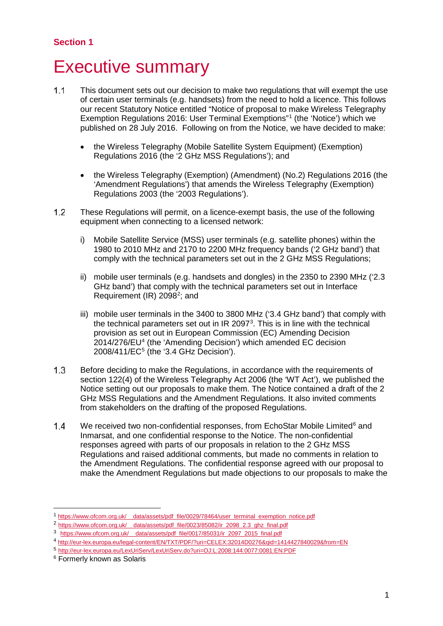## <span id="page-4-0"></span>**Executive summary**

- $1.1$ This document sets out our decision to make two regulations that will exempt the use of certain user terminals (e.g. handsets) from the need to hold a licence. This follows our recent Statutory Notice entitled "Notice of proposal to make Wireless Telegraphy Exemption Regulations 2016: User Terminal Exemptions"[1](#page-4-1) (the 'Notice') which we published on 28 July 2016. Following on from the Notice, we have decided to make:
	- the Wireless Telegraphy (Mobile Satellite System Equipment) (Exemption) Regulations 2016 (the '2 GHz MSS Regulations'); and
	- the Wireless Telegraphy (Exemption) (Amendment) (No.2) Regulations 2016 (the 'Amendment Regulations') that amends the Wireless Telegraphy (Exemption) Regulations 2003 (the '2003 Regulations').
- $1.2$ These Regulations will permit, on a licence-exempt basis, the use of the following equipment when connecting to a licensed network:
	- i) Mobile Satellite Service (MSS) user terminals (e.g. satellite phones) within the 1980 to 2010 MHz and 2170 to 2200 MHz frequency bands ('2 GHz band') that comply with the technical parameters set out in the 2 GHz MSS Regulations;
	- ii) mobile user terminals (e.g. handsets and dongles) in the 2350 to 2390 MHz ('2.3 GHz band') that comply with the technical parameters set out in Interface Requirement (IR) 2098<sup>2</sup>; and
	- iii) mobile user terminals in the 3400 to 3800 MHz ('3.4 GHz band') that comply with the technical parameters set out in IR 2097 $3$ . This is in line with the technical provision as set out in European Commission (EC) Amending Decision 2014/276/EU[4](#page-4-4) (the 'Amending Decision') which amended EC decision 2008/411/EC[5](#page-4-5) (the '3.4 GHz Decision').
- $1.3$ Before deciding to make the Regulations, in accordance with the requirements of section 122(4) of the Wireless Telegraphy Act 2006 (the 'WT Act'), we published the Notice setting out our proposals to make them. The Notice contained a draft of the 2 GHz MSS Regulations and the Amendment Regulations. It also invited comments from stakeholders on the drafting of the proposed Regulations.
- $1.4$ We received two non-confidential responses, from EchoStar Mobile Limited $6$  and Inmarsat, and one confidential response to the Notice. The non-confidential responses agreed with parts of our proposals in relation to the 2 GHz MSS Regulations and raised additional comments, but made no comments in relation to the Amendment Regulations. The confidential response agreed with our proposal to make the Amendment Regulations but made objections to our proposals to make the

<span id="page-4-1"></span> <sup>1</sup> [https://www.ofcom.org.uk/\\_\\_data/assets/pdf\\_file/0029/78464/user\\_terminal\\_exemption\\_notice.pdf](https://www.ofcom.org.uk/__data/assets/pdf_file/0029/78464/user_terminal_exemption_notice.pdf)

<span id="page-4-2"></span><sup>2</sup> [https://www.ofcom.org.uk/\\_\\_data/assets/pdf\\_file/0023/85082/ir\\_2098\\_2.3\\_ghz\\_final.pdf](https://www.ofcom.org.uk/__data/assets/pdf_file/0023/85082/ir_2098_2.3_ghz_final.pdf)

<span id="page-4-3"></span><sup>3</sup> https://www.ofcom.org.uk/ data/assets/pdf\_file/0017/85031/ir\_2097\_2015\_final.pdf

<span id="page-4-4"></span><sup>4</sup> <http://eur-lex.europa.eu/legal-content/EN/TXT/PDF/?uri=CELEX:32014D0276&qid=1414427840029&from=EN>

<span id="page-4-5"></span><sup>5</sup> <http://eur-lex.europa.eu/LexUriServ/LexUriServ.do?uri=OJ:L:2008:144:0077:0081:EN:PDF>

<span id="page-4-6"></span><sup>6</sup> Formerly known as Solaris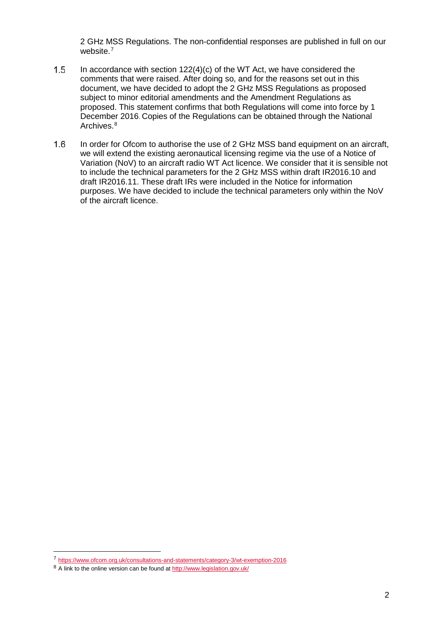2 GHz MSS Regulations. The non-confidential responses are published in full on our website. [7](#page-5-0)

- $1.5$ In accordance with section  $122(4)(c)$  of the WT Act, we have considered the comments that were raised. After doing so, and for the reasons set out in this document, we have decided to adopt the 2 GHz MSS Regulations as proposed subject to minor editorial amendments and the Amendment Regulations as proposed. This statement confirms that both Regulations will come into force by 1 December 2016. Copies of the Regulations can be obtained through the National Archives.<sup>[8](#page-5-1)</sup>
- $1.6$ In order for Ofcom to authorise the use of 2 GHz MSS band equipment on an aircraft, we will extend the existing aeronautical licensing regime via the use of a Notice of Variation (NoV) to an aircraft radio WT Act licence. We consider that it is sensible not to include the technical parameters for the 2 GHz MSS within draft IR2016.10 and draft IR2016.11. These draft IRs were included in the Notice for information purposes. We have decided to include the technical parameters only within the NoV of the aircraft licence.

<span id="page-5-0"></span> <sup>7</sup> <https://www.ofcom.org.uk/consultations-and-statements/category-3/wt-exemption-2016>

<span id="page-5-1"></span><sup>8</sup> A link to the online version can be found a[t http://www.legislation.gov.uk/](http://www.legislation.gov.uk/)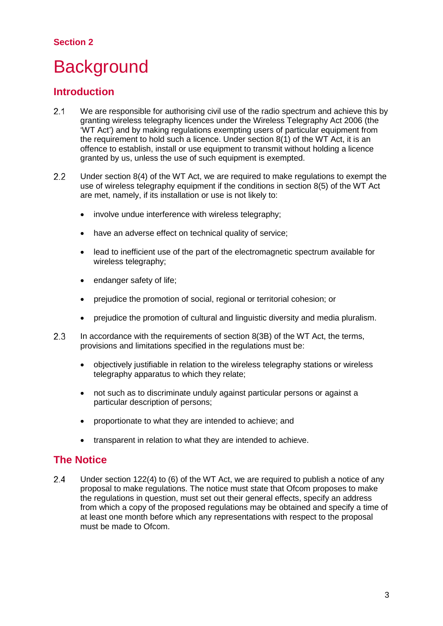### **Section 2**

## <span id="page-6-0"></span>**Background**

## **Introduction**

- $2.1$ We are responsible for authorising civil use of the radio spectrum and achieve this by granting wireless telegraphy licences under the Wireless Telegraphy Act 2006 (the 'WT Act') and by making regulations exempting users of particular equipment from the requirement to hold such a licence. Under section 8(1) of the WT Act, it is an offence to establish, install or use equipment to transmit without holding a licence granted by us, unless the use of such equipment is exempted.
- $2.2$ Under section 8(4) of the WT Act, we are required to make regulations to exempt the use of wireless telegraphy equipment if the conditions in section 8(5) of the WT Act are met, namely, if its installation or use is not likely to:
	- involve undue interference with wireless telegraphy;
	- have an adverse effect on technical quality of service;
	- lead to inefficient use of the part of the electromagnetic spectrum available for wireless telegraphy;
	- endanger safety of life;
	- prejudice the promotion of social, regional or territorial cohesion; or
	- prejudice the promotion of cultural and linguistic diversity and media pluralism.
- $2.3$ In accordance with the requirements of section 8(3B) of the WT Act, the terms, provisions and limitations specified in the regulations must be:
	- objectively justifiable in relation to the wireless telegraphy stations or wireless telegraphy apparatus to which they relate;
	- not such as to discriminate unduly against particular persons or against a particular description of persons;
	- proportionate to what they are intended to achieve; and
	- transparent in relation to what they are intended to achieve.

### **The Notice**

 $2.4$ Under section 122(4) to (6) of the WT Act, we are required to publish a notice of any proposal to make regulations. The notice must state that Ofcom proposes to make the regulations in question, must set out their general effects, specify an address from which a copy of the proposed regulations may be obtained and specify a time of at least one month before which any representations with respect to the proposal must be made to Ofcom.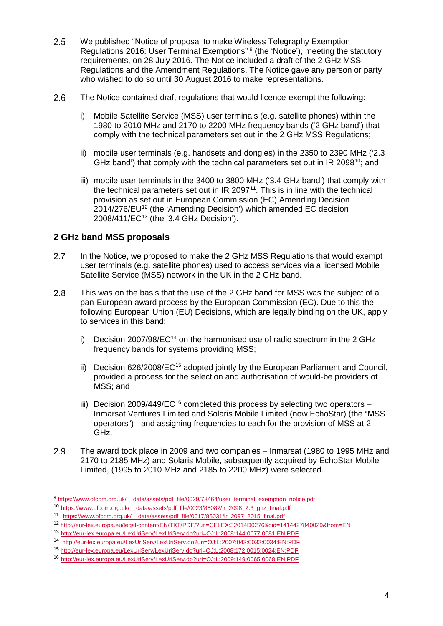- 2.5 We published "Notice of proposal to make Wireless Telegraphy Exemption Regulations 2016: User Terminal Exemptions" [9](#page-7-0) (the 'Notice'), meeting the statutory requirements, on 28 July 2016. The Notice included a draft of the 2 GHz MSS Regulations and the Amendment Regulations. The Notice gave any person or party who wished to do so until 30 August 2016 to make representations.
- $2.6$ The Notice contained draft regulations that would licence-exempt the following:
	- i) Mobile Satellite Service (MSS) user terminals (e.g. satellite phones) within the 1980 to 2010 MHz and 2170 to 2200 MHz frequency bands ('2 GHz band') that comply with the technical parameters set out in the 2 GHz MSS Regulations;
	- ii) mobile user terminals (e.g. handsets and dongles) in the 2350 to 2390 MHz ('2.3 GHz band') that comply with the technical parameters set out in IR 2098<sup>10</sup>; and
	- iii) mobile user terminals in the 3400 to 3800 MHz ('3.4 GHz band') that comply with the technical parameters set out in  $IR$  2097<sup>11</sup>. This is in line with the technical provision as set out in European Commission (EC) Amending Decision 2014/276/EU<sup>[12](#page-7-3)</sup> (the 'Amending Decision') which amended EC decision 2008/411/EC[13](#page-7-4) (the '3.4 GHz Decision').

### **2 GHz band MSS proposals**

- $2.7$ In the Notice, we proposed to make the 2 GHz MSS Regulations that would exempt user terminals (e.g. satellite phones) used to access services via a licensed Mobile Satellite Service (MSS) network in the UK in the 2 GHz band.
- 2.8 This was on the basis that the use of the 2 GHz band for MSS was the subject of a pan-European award process by the European Commission (EC). Due to this the following European Union (EU) Decisions, which are legally binding on the UK, apply to services in this band:
	- i) Decision 2007/98/EC<sup>[14](#page-7-5)</sup> on the harmonised use of radio spectrum in the 2 GHz frequency bands for systems providing MSS;
	- ii) Decision 626/2008/EC<sup>[15](#page-7-6)</sup> adopted jointly by the European Parliament and Council, provided a process for the selection and authorisation of would-be providers of MSS; and
	- iii) Decision 2009/449/EC<sup>[16](#page-7-7)</sup> completed this process by selecting two operators Inmarsat Ventures Limited and Solaris Mobile Limited (now EchoStar) (the "MSS operators") - and assigning frequencies to each for the provision of MSS at 2 GHz.
- 2.9 The award took place in 2009 and two companies – Inmarsat (1980 to 1995 MHz and 2170 to 2185 MHz) and Solaris Mobile, subsequently acquired by EchoStar Mobile Limited, (1995 to 2010 MHz and 2185 to 2200 MHz) were selected.

<span id="page-7-0"></span><sup>9</sup> https://www.ofcom.org.uk/ data/assets/pdf\_file/0029/78464/user\_terminal\_exemption\_notice.pdf

<span id="page-7-1"></span><sup>10</sup> [https://www.ofcom.org.uk/\\_\\_data/assets/pdf\\_file/0023/85082/ir\\_2098\\_2.3\\_ghz\\_final.pdf](https://www.ofcom.org.uk/__data/assets/pdf_file/0023/85082/ir_2098_2.3_ghz_final.pdf)

<span id="page-7-2"></span><sup>11</sup> https://www.ofcom.org.uk/\_\_data/assets/pdf\_file/0017/85031/ir\_2097\_2015\_final.pdf

<span id="page-7-3"></span><sup>12</sup> <http://eur-lex.europa.eu/legal-content/EN/TXT/PDF/?uri=CELEX:32014D0276&qid=1414427840029&from=EN>

<span id="page-7-4"></span><sup>13</sup> <http://eur-lex.europa.eu/LexUriServ/LexUriServ.do?uri=OJ:L:2008:144:0077:0081:EN:PDF>

<span id="page-7-5"></span><sup>14</sup> <http://eur-lex.europa.eu/LexUriServ/LexUriServ.do?uri=OJ:L:2007:043:0032:0034:EN:PDF>

<sup>15</sup> <http://eur-lex.europa.eu/LexUriServ/LexUriServ.do?uri=OJ:L:2008:172:0015:0024:EN:PDF>

<span id="page-7-7"></span><span id="page-7-6"></span><sup>16</sup> [http://eur-lex.europa.eu/LexUriServ/LexUriServ.do?uri=OJ:L:2009:149:0065:0068:EN:PDF](http://eur-lex.europa.eu/LexUriServ/LexUriServ.do?uri=OJ:L:2009:149:0065:0068:EN:PDF%20%20)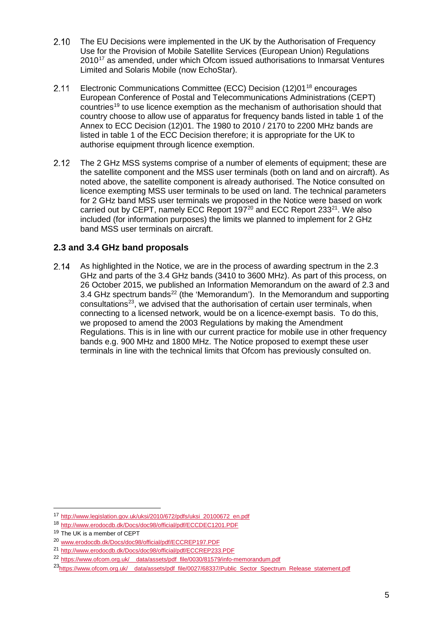- $2.10$ The EU Decisions were implemented in the UK by the Authorisation of Frequency Use for the Provision of Mobile Satellite Services (European Union) Regulations 2010<sup>[17](#page-8-0)</sup> as amended, under which Ofcom issued authorisations to Inmarsat Ventures Limited and Solaris Mobile (now EchoStar).
- Electronic Communications Committee (ECC) Decision (12)01[18](#page-8-1) encourages  $2.11$ European Conference of Postal and Telecommunications Administrations (CEPT) countries<sup>[19](#page-8-2)</sup> to use licence exemption as the mechanism of authorisation should that country choose to allow use of apparatus for frequency bands listed in table 1 of the Annex to ECC Decision (12)01. The 1980 to 2010 / 2170 to 2200 MHz bands are listed in table 1 of the ECC Decision therefore; it is appropriate for the UK to authorise equipment through licence exemption.
- $2.12$ The 2 GHz MSS systems comprise of a number of elements of equipment; these are the satellite component and the MSS user terminals (both on land and on aircraft). As noted above, the satellite component is already authorised. The Notice consulted on licence exempting MSS user terminals to be used on land. The technical parameters for 2 GHz band MSS user terminals we proposed in the Notice were based on work carried out by CEPT, namely ECC Report 197[20](#page-8-3) and ECC Report 233[21.](#page-8-4) We also included (for information purposes) the limits we planned to implement for 2 GHz band MSS user terminals on aircraft.

### **2.3 and 3.4 GHz band proposals**

As highlighted in the Notice, we are in the process of awarding spectrum in the 2.3  $2.14$ GHz and parts of the 3.4 GHz bands (3410 to 3600 MHz). As part of this process, on 26 October 2015, we published an Information Memorandum on the award of 2.3 and 3.4 GHz spectrum bands<sup>[22](#page-8-5)</sup> (the 'Memorandum'). In the Memorandum and supporting  $consultations<sup>23</sup>$  $consultations<sup>23</sup>$  $consultations<sup>23</sup>$ , we advised that the authorisation of certain user terminals, when connecting to a licensed network, would be on a licence-exempt basis. To do this, we proposed to amend the 2003 Regulations by making the Amendment Regulations. This is in line with our current practice for mobile use in other frequency bands e.g. 900 MHz and 1800 MHz. The Notice proposed to exempt these user terminals in line with the technical limits that Ofcom has previously consulted on.

<span id="page-8-0"></span> <sup>17</sup> [http://www.legislation.gov.uk/uksi/2010/672/pdfs/uksi\\_20100672\\_en.pdf](http://www.legislation.gov.uk/uksi/2010/672/pdfs/uksi_20100672_en.pdf)

<span id="page-8-1"></span><sup>18</sup> <http://www.erodocdb.dk/Docs/doc98/official/pdf/ECCDEC1201.PDF>

<sup>19</sup> The UK is a member of CEPT

<span id="page-8-3"></span><span id="page-8-2"></span><sup>20</sup> [www.erodocdb.dk/Docs/doc98/official/pdf/ECCREP197.PDF](http://www.erodocdb.dk/Docs/doc98/official/pdf/ECCREP197.PDF) 

<span id="page-8-4"></span><sup>21</sup> <http://www.erodocdb.dk/Docs/doc98/official/pdf/ECCREP233.PDF>

<span id="page-8-5"></span><sup>22</sup> [https://www.ofcom.org.uk/\\_\\_data/assets/pdf\\_file/0030/81579/info-memorandum.pdf](https://www.ofcom.org.uk/__data/assets/pdf_file/0030/81579/info-memorandum.pdf)

<span id="page-8-6"></span><sup>2</sup>[3https://www.ofcom.org.uk/\\_\\_data/assets/pdf\\_file/0027/68337/Public\\_Sector\\_Spectrum\\_Release\\_statement.pdf](https://www.ofcom.org.uk/__data/assets/pdf_file/0027/68337/Public_Sector_Spectrum_Release_statement.pdf)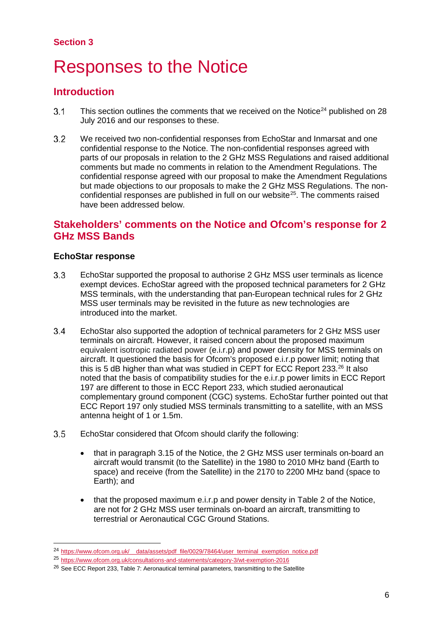### **Section 3**

## <span id="page-9-0"></span>**Responses to the Notice**

## **Introduction**

- This section outlines the comments that we received on the Notice<sup>[24](#page-9-1)</sup> published on 28  $3.1$ July 2016 and our responses to these.
- $3.2$ We received two non-confidential responses from EchoStar and Inmarsat and one confidential response to the Notice. The non-confidential responses agreed with parts of our proposals in relation to the 2 GHz MSS Regulations and raised additional comments but made no comments in relation to the Amendment Regulations. The confidential response agreed with our proposal to make the Amendment Regulations but made objections to our proposals to make the 2 GHz MSS Regulations. The non-confidential responses are published in full on our website<sup>[25](#page-9-2)</sup>. The comments raised have been addressed below.

### **Stakeholders' comments on the Notice and Ofcom's response for 2 GHz MSS Bands**

### **EchoStar response**

- $3.3$ EchoStar supported the proposal to authorise 2 GHz MSS user terminals as licence exempt devices. EchoStar agreed with the proposed technical parameters for 2 GHz MSS terminals, with the understanding that pan-European technical rules for 2 GHz MSS user terminals may be revisited in the future as new technologies are introduced into the market.
- $3.4$ EchoStar also supported the adoption of technical parameters for 2 GHz MSS user terminals on aircraft. However, it raised concern about the proposed maximum equivalent isotropic radiated power (e.i.r.p) and power density for MSS terminals on aircraft. It questioned the basis for Ofcom's proposed e.i.r.p power limit; noting that this is 5 dB higher than what was studied in CEPT for ECC Report 233. [26](#page-9-3) It also noted that the basis of compatibility studies for the e.i.r.p power limits in ECC Report 197 are different to those in ECC Report 233, which studied aeronautical complementary ground component (CGC) systems. EchoStar further pointed out that ECC Report 197 only studied MSS terminals transmitting to a satellite, with an MSS antenna height of 1 or 1.5m.
- $3.5$ EchoStar considered that Ofcom should clarify the following:
	- that in paragraph 3.15 of the Notice, the 2 GHz MSS user terminals on-board an aircraft would transmit (to the Satellite) in the 1980 to 2010 MHz band (Earth to space) and receive (from the Satellite) in the 2170 to 2200 MHz band (space to Earth); and
	- that the proposed maximum e.i.r.p and power density in Table 2 of the Notice, are not for 2 GHz MSS user terminals on-board an aircraft, transmitting to terrestrial or Aeronautical CGC Ground Stations.

<span id="page-9-1"></span><sup>&</sup>lt;sup>24</sup> https://www.ofcom.org.uk/ data/assets/pdf file/0029/78464/user\_terminal\_exemption\_notice.pdf

<span id="page-9-2"></span><sup>25</sup> <https://www.ofcom.org.uk/consultations-and-statements/category-3/wt-exemption-2016>

<span id="page-9-3"></span><sup>&</sup>lt;sup>26</sup> See ECC Report 233, Table 7: Aeronautical terminal parameters, transmitting to the Satellite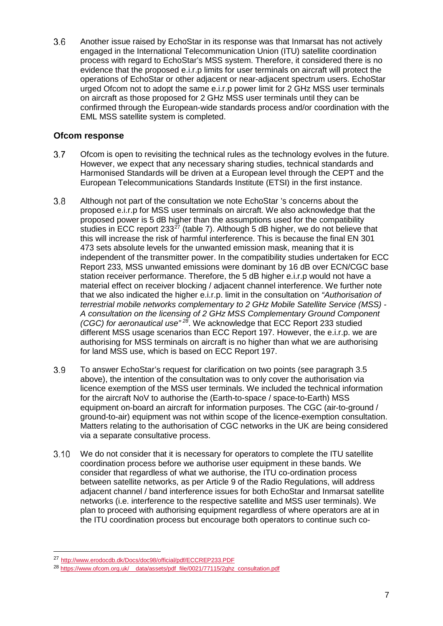$3.6$ Another issue raised by EchoStar in its response was that Inmarsat has not actively engaged in the International Telecommunication Union (ITU) satellite coordination process with regard to EchoStar's MSS system. Therefore, it considered there is no evidence that the proposed e.i.r.p limits for user terminals on aircraft will protect the operations of EchoStar or other adjacent or near-adjacent spectrum users. EchoStar urged Ofcom not to adopt the same e.i.r.p power limit for 2 GHz MSS user terminals on aircraft as those proposed for 2 GHz MSS user terminals until they can be confirmed through the European-wide standards process and/or coordination with the EML MSS satellite system is completed.

### **Ofcom response**

- $3.7$ Ofcom is open to revisiting the technical rules as the technology evolves in the future. However, we expect that any necessary sharing studies, technical standards and Harmonised Standards will be driven at a European level through the CEPT and the European Telecommunications Standards Institute (ETSI) in the first instance.
- $3.8$ Although not part of the consultation we note EchoStar 's concerns about the proposed e.i.r.p for MSS user terminals on aircraft. We also acknowledge that the proposed power is 5 dB higher than the assumptions used for the compatibility studies in ECC report  $233^{27}$  (table 7). Although 5 dB higher, we do not believe that this will increase the risk of harmful interference. This is because the final EN 301 473 sets absolute levels for the unwanted emission mask, meaning that it is independent of the transmitter power. In the compatibility studies undertaken for ECC Report 233, MSS unwanted emissions were dominant by 16 dB over ECN/CGC base station receiver performance. Therefore, the 5 dB higher e.i.r.p would not have a material effect on receiver blocking / adjacent channel interference. We further note that we also indicated the higher e.i.r.p. limit in the consultation on *"Authorisation of terrestrial mobile networks complementary to 2 GHz Mobile Satellite Service (MSS) - A consultation on the licensing of 2 GHz MSS Complementary Ground Component (CGC) for aeronautical use*<sup>"[28](#page-10-1)</sup>. We acknowledge that ECC Report 233 studied different MSS usage scenarios than ECC Report 197. However, the e.i.r.p. we are authorising for MSS terminals on aircraft is no higher than what we are authorising for land MSS use, which is based on ECC Report 197.
- 3.9 To answer EchoStar's request for clarification on two points (see paragraph 3.5 above), the intention of the consultation was to only cover the authorisation via licence exemption of the MSS user terminals. We included the technical information for the aircraft NoV to authorise the (Earth-to-space / space-to-Earth) MSS equipment on-board an aircraft for information purposes. The CGC (air-to-ground / ground-to-air) equipment was not within scope of the licence-exemption consultation. Matters relating to the authorisation of CGC networks in the UK are being considered via a separate consultative process.
- $3.10$ We do not consider that it is necessary for operators to complete the ITU satellite coordination process before we authorise user equipment in these bands. We consider that regardless of what we authorise, the ITU co-ordination process between satellite networks, as per Article 9 of the Radio Regulations, will address adjacent channel / band interference issues for both EchoStar and Inmarsat satellite networks (i.e. interference to the respective satellite and MSS user terminals). We plan to proceed with authorising equipment regardless of where operators are at in the ITU coordination process but encourage both operators to continue such co-

<span id="page-10-0"></span> <sup>27</sup> <http://www.erodocdb.dk/Docs/doc98/official/pdf/ECCREP233.PDF>

<span id="page-10-1"></span><sup>28</sup> [https://www.ofcom.org.uk/\\_\\_data/assets/pdf\\_file/0021/77115/2ghz\\_consultation.pdf](https://www.ofcom.org.uk/__data/assets/pdf_file/0021/77115/2ghz_consultation.pdf)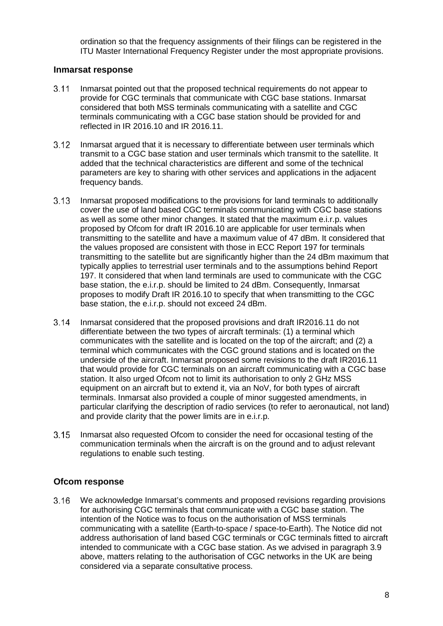ordination so that the frequency assignments of their filings can be registered in the ITU Master International Frequency Register under the most appropriate provisions.

#### **Inmarsat response**

- $3.11$ Inmarsat pointed out that the proposed technical requirements do not appear to provide for CGC terminals that communicate with CGC base stations. Inmarsat considered that both MSS terminals communicating with a satellite and CGC terminals communicating with a CGC base station should be provided for and reflected in IR 2016.10 and IR 2016.11.
- $3.12$ Inmarsat argued that it is necessary to differentiate between user terminals which transmit to a CGC base station and user terminals which transmit to the satellite. It added that the technical characteristics are different and some of the technical parameters are key to sharing with other services and applications in the adjacent frequency bands.
- $3.13$ Inmarsat proposed modifications to the provisions for land terminals to additionally cover the use of land based CGC terminals communicating with CGC base stations as well as some other minor changes. It stated that the maximum e.i.r.p. values proposed by Ofcom for draft IR 2016.10 are applicable for user terminals when transmitting to the satellite and have a maximum value of 47 dBm. It considered that the values proposed are consistent with those in ECC Report 197 for terminals transmitting to the satellite but are significantly higher than the 24 dBm maximum that typically applies to terrestrial user terminals and to the assumptions behind Report 197. It considered that when land terminals are used to communicate with the CGC base station, the e.i.r.p. should be limited to 24 dBm. Consequently, Inmarsat proposes to modify Draft IR 2016.10 to specify that when transmitting to the CGC base station, the e.i.r.p. should not exceed 24 dBm.
- $3.14$ Inmarsat considered that the proposed provisions and draft IR2016.11 do not differentiate between the two types of aircraft terminals: (1) a terminal which communicates with the satellite and is located on the top of the aircraft; and (2) a terminal which communicates with the CGC ground stations and is located on the underside of the aircraft. Inmarsat proposed some revisions to the draft IR2016.11 that would provide for CGC terminals on an aircraft communicating with a CGC base station. It also urged Ofcom not to limit its authorisation to only 2 GHz MSS equipment on an aircraft but to extend it, via an NoV, for both types of aircraft terminals. Inmarsat also provided a couple of minor suggested amendments, in particular clarifying the description of radio services (to refer to aeronautical, not land) and provide clarity that the power limits are in e.i.r.p.
- $3.15$ Inmarsat also requested Ofcom to consider the need for occasional testing of the communication terminals when the aircraft is on the ground and to adjust relevant regulations to enable such testing.

### **Ofcom response**

 $3.16$ We acknowledge Inmarsat's comments and proposed revisions regarding provisions for authorising CGC terminals that communicate with a CGC base station. The intention of the Notice was to focus on the authorisation of MSS terminals communicating with a satellite (Earth-to-space / space-to-Earth). The Notice did not address authorisation of land based CGC terminals or CGC terminals fitted to aircraft intended to communicate with a CGC base station. As we advised in paragraph 3.9 above, matters relating to the authorisation of CGC networks in the UK are being considered via a separate consultative process.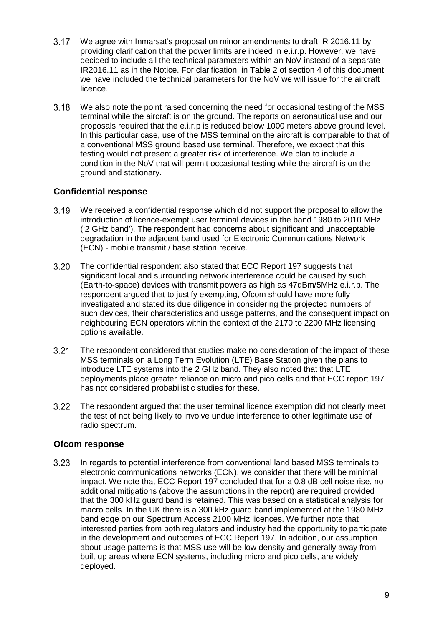- $3.17$ We agree with Inmarsat's proposal on minor amendments to draft IR 2016.11 by providing clarification that the power limits are indeed in e.i.r.p. However, we have decided to include all the technical parameters within an NoV instead of a separate IR2016.11 as in the Notice. For clarification, in Table 2 of section 4 of this document we have included the technical parameters for the NoV we will issue for the aircraft licence.
- $3.18$ We also note the point raised concerning the need for occasional testing of the MSS terminal while the aircraft is on the ground. The reports on aeronautical use and our proposals required that the e.i.r.p is reduced below 1000 meters above ground level. In this particular case, use of the MSS terminal on the aircraft is comparable to that of a conventional MSS ground based use terminal. Therefore, we expect that this testing would not present a greater risk of interference. We plan to include a condition in the NoV that will permit occasional testing while the aircraft is on the ground and stationary.

### **Confidential response**

- $3.19$ We received a confidential response which did not support the proposal to allow the introduction of licence-exempt user terminal devices in the band 1980 to 2010 MHz ('2 GHz band'). The respondent had concerns about significant and unacceptable degradation in the adjacent band used for Electronic Communications Network (ECN) - mobile transmit / base station receive.
- $3.20$ The confidential respondent also stated that ECC Report 197 suggests that significant local and surrounding network interference could be caused by such (Earth-to-space) devices with transmit powers as high as 47dBm/5MHz e.i.r.p. The respondent argued that to justify exempting, Ofcom should have more fully investigated and stated its due diligence in considering the projected numbers of such devices, their characteristics and usage patterns, and the consequent impact on neighbouring ECN operators within the context of the 2170 to 2200 MHz licensing options available.
- $3.21$ The respondent considered that studies make no consideration of the impact of these MSS terminals on a Long Term Evolution (LTE) Base Station given the plans to introduce LTE systems into the 2 GHz band. They also noted that that LTE deployments place greater reliance on micro and pico cells and that ECC report 197 has not considered probabilistic studies for these.
- $3.22$ The respondent argued that the user terminal licence exemption did not clearly meet the test of not being likely to involve undue interference to other legitimate use of radio spectrum.

### **Ofcom response**

 $3.23$ In regards to potential interference from conventional land based MSS terminals to electronic communications networks (ECN), we consider that there will be minimal impact. We note that ECC Report 197 concluded that for a 0.8 dB cell noise rise, no additional mitigations (above the assumptions in the report) are required provided that the 300 kHz guard band is retained. This was based on a statistical analysis for macro cells. In the UK there is a 300 kHz guard band implemented at the 1980 MHz band edge on our Spectrum Access 2100 MHz licences. We further note that interested parties from both regulators and industry had the opportunity to participate in the development and outcomes of ECC Report 197. In addition, our assumption about usage patterns is that MSS use will be low density and generally away from built up areas where ECN systems, including micro and pico cells, are widely deployed.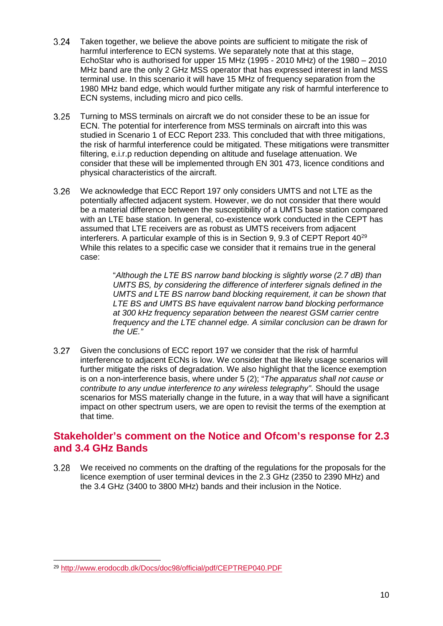- $3.24$ Taken together, we believe the above points are sufficient to mitigate the risk of harmful interference to ECN systems. We separately note that at this stage, EchoStar who is authorised for upper 15 MHz (1995 - 2010 MHz) of the 1980 – 2010 MHz band are the only 2 GHz MSS operator that has expressed interest in land MSS terminal use. In this scenario it will have 15 MHz of frequency separation from the 1980 MHz band edge, which would further mitigate any risk of harmful interference to ECN systems, including micro and pico cells.
- $3.25$ Turning to MSS terminals on aircraft we do not consider these to be an issue for ECN. The potential for interference from MSS terminals on aircraft into this was studied in Scenario 1 of ECC Report 233. This concluded that with three mitigations, the risk of harmful interference could be mitigated. These mitigations were transmitter filtering, e.i.r.p reduction depending on altitude and fuselage attenuation. We consider that these will be implemented through EN 301 473, licence conditions and physical characteristics of the aircraft.
- $3.26$ We acknowledge that ECC Report 197 only considers UMTS and not LTE as the potentially affected adjacent system. However, we do not consider that there would be a material difference between the susceptibility of a UMTS base station compared with an LTE base station. In general, co-existence work conducted in the CEPT has assumed that LTE receivers are as robust as UMTS receivers from adjacent interferers. A particular example of this is in Section 9, 9.3 of CEPT Report  $40^{29}$  $40^{29}$  $40^{29}$ While this relates to a specific case we consider that it remains true in the general case:

"*Although the LTE BS narrow band blocking is slightly worse (2.7 dB) than UMTS BS, by considering the difference of interferer signals defined in the UMTS and LTE BS narrow band blocking requirement, it can be shown that LTE BS and UMTS BS have equivalent narrow band blocking performance at 300 kHz frequency separation between the nearest GSM carrier centre frequency and the LTE channel edge. A similar conclusion can be drawn for the UE."* 

 $3.27$ Given the conclusions of ECC report 197 we consider that the risk of harmful interference to adjacent ECNs is low. We consider that the likely usage scenarios will further mitigate the risks of degradation. We also highlight that the licence exemption is on a non-interference basis, where under 5 (2); "*The apparatus shall not cause or contribute to any undue interference to any wireless telegraphy"*. Should the usage scenarios for MSS materially change in the future, in a way that will have a significant impact on other spectrum users, we are open to revisit the terms of the exemption at that time.

### **Stakeholder's comment on the Notice and Ofcom's response for 2.3 and 3.4 GHz Bands**

3.28 We received no comments on the drafting of the regulations for the proposals for the licence exemption of user terminal devices in the 2.3 GHz (2350 to 2390 MHz) and the 3.4 GHz (3400 to 3800 MHz) bands and their inclusion in the Notice.

<span id="page-13-0"></span> <sup>29</sup> <http://www.erodocdb.dk/Docs/doc98/official/pdf/CEPTREP040.PDF>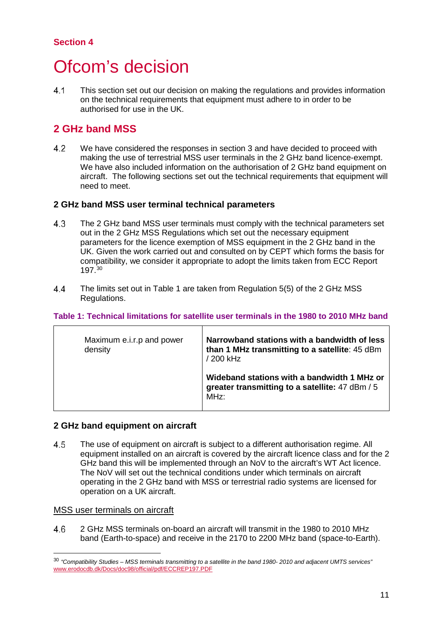### **Section 4**

## <span id="page-14-0"></span>Ofcom's decision

 $4.1$ This section set out our decision on making the regulations and provides information on the technical requirements that equipment must adhere to in order to be authorised for use in the UK.

## **2 GHz band MSS**

4.2 We have considered the responses in section 3 and have decided to proceed with making the use of terrestrial MSS user terminals in the 2 GHz band licence-exempt. We have also included information on the authorisation of 2 GHz band equipment on aircraft. The following sections set out the technical requirements that equipment will need to meet.

### **2 GHz band MSS user terminal technical parameters**

- 4.3 The 2 GHz band MSS user terminals must comply with the technical parameters set out in the 2 GHz MSS Regulations which set out the necessary equipment parameters for the licence exemption of MSS equipment in the 2 GHz band in the UK. Given the work carried out and consulted on by CEPT which forms the basis for compatibility, we consider it appropriate to adopt the limits taken from ECC Report 197. [30](#page-14-1)
- $4.4$ The limits set out in Table 1 are taken from Regulation 5(5) of the 2 GHz MSS Regulations.

#### **Table 1: Technical limitations for satellite user terminals in the 1980 to 2010 MHz band**

| Maximum e.i.r.p and power<br>density | Narrowband stations with a bandwidth of less<br>than 1 MHz transmitting to a satellite: 45 dBm<br>/ 200 kHz |
|--------------------------------------|-------------------------------------------------------------------------------------------------------------|
|                                      | Wideband stations with a bandwidth 1 MHz or<br>greater transmitting to a satellite: 47 dBm / 5<br>MHz:      |

### **2 GHz band equipment on aircraft**

4.5 The use of equipment on aircraft is subject to a different authorisation regime. All equipment installed on an aircraft is covered by the aircraft licence class and for the 2 GHz band this will be implemented through an NoV to the aircraft's WT Act licence. The NoV will set out the technical conditions under which terminals on aircraft operating in the 2 GHz band with MSS or terrestrial radio systems are licensed for operation on a UK aircraft.

#### MSS user terminals on aircraft

46 2 GHz MSS terminals on-board an aircraft will transmit in the 1980 to 2010 MHz band (Earth-to-space) and receive in the 2170 to 2200 MHz band (space-to-Earth).

<span id="page-14-1"></span> <sup>30</sup> *"Compatibility Studies – MSS terminals transmitting to a satellite in the band 1980- 2010 and adjacent UMTS services"* [www.erodocdb.dk/Docs/doc98/official/pdf/ECCREP197.PDF](http://www.erodocdb.dk/Docs/doc98/official/pdf/ECCREP197.PDF)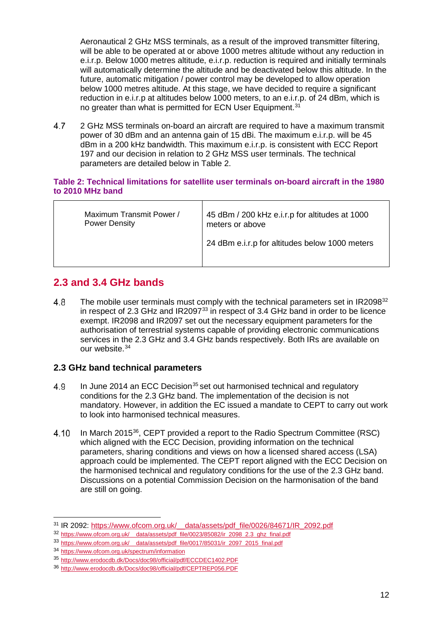Aeronautical 2 GHz MSS terminals, as a result of the improved transmitter filtering, will be able to be operated at or above 1000 metres altitude without any reduction in e.i.r.p. Below 1000 metres altitude, e.i.r.p. reduction is required and initially terminals will automatically determine the altitude and be deactivated below this altitude. In the future, automatic mitigation / power control may be developed to allow operation below 1000 metres altitude. At this stage, we have decided to require a significant reduction in e.i.r.p at altitudes below 1000 meters, to an e.i.r.p. of 24 dBm, which is no greater than what is permitted for ECN User Equipment.<sup>31</sup>

4.7 2 GHz MSS terminals on-board an aircraft are required to have a maximum transmit power of 30 dBm and an antenna gain of 15 dBi. The maximum e.i.r.p. will be 45 dBm in a 200 kHz bandwidth. This maximum e.i.r.p. is consistent with ECC Report 197 and our decision in relation to 2 GHz MSS user terminals. The technical parameters are detailed below in Table 2.

#### **Table 2: Technical limitations for satellite user terminals on-board aircraft in the 1980 to 2010 MHz band**

| Maximum Transmit Power / | 45 dBm / 200 kHz e.i.r.p for altitudes at 1000 |
|--------------------------|------------------------------------------------|
| <b>Power Density</b>     | meters or above                                |
|                          | 24 dBm e.i.r.p for altitudes below 1000 meters |

## **2.3 and 3.4 GHz bands**

4.8 The mobile user terminals must comply with the technical parameters set in IR2098<sup>[32](#page-15-1)</sup> in respect of 2.3 GHz and  $IR2097^{33}$  $IR2097^{33}$  $IR2097^{33}$  in respect of 3.4 GHz band in order to be licence exempt. IR2098 and IR2097 set out the necessary equipment parameters for the authorisation of terrestrial systems capable of providing electronic communications services in the 2.3 GHz and 3.4 GHz bands respectively. Both IRs are available on our website. [34](#page-15-3)

### **2.3 GHz band technical parameters**

- In June 2014 an ECC Decision<sup>[35](#page-15-4)</sup> set out harmonised technical and regulatory 4.9 conditions for the 2.3 GHz band. The implementation of the decision is not mandatory. However, in addition the EC issued a mandate to CEPT to carry out work to look into harmonised technical measures.
- 4.10 In March 2015[36](#page-15-5), CEPT provided a report to the Radio Spectrum Committee (RSC) which aligned with the ECC Decision, providing information on the technical parameters, sharing conditions and views on how a licensed shared access (LSA) approach could be implemented. The CEPT report aligned with the ECC Decision on the harmonised technical and regulatory conditions for the use of the 2.3 GHz band. Discussions on a potential Commission Decision on the harmonisation of the band are still on going.

<sup>&</sup>lt;sup>31</sup> IR 2092: https://www.ofcom.org.uk/ data/assets/pdf\_file/0026/84671/IR\_2092.pdf

<span id="page-15-1"></span><span id="page-15-0"></span><sup>32</sup> https://www.ofcom.org.uk/ data/assets/pdf\_file/0023/85082/ir\_2098\_2.3\_ghz\_final.pdf

<span id="page-15-2"></span><sup>&</sup>lt;sup>33</sup> https://www.ofcom.org.uk/ data/assets/pdf\_file/0017/85031/ir\_2097\_2015\_final.pdf

<sup>34</sup> <https://www.ofcom.org.uk/spectrum/information>

<span id="page-15-4"></span><span id="page-15-3"></span><sup>35</sup> <http://www.erodocdb.dk/Docs/doc98/official/pdf/ECCDEC1402.PDF>

<span id="page-15-5"></span><sup>36</sup> <http://www.erodocdb.dk/Docs/doc98/official/pdf/CEPTREP056.PDF>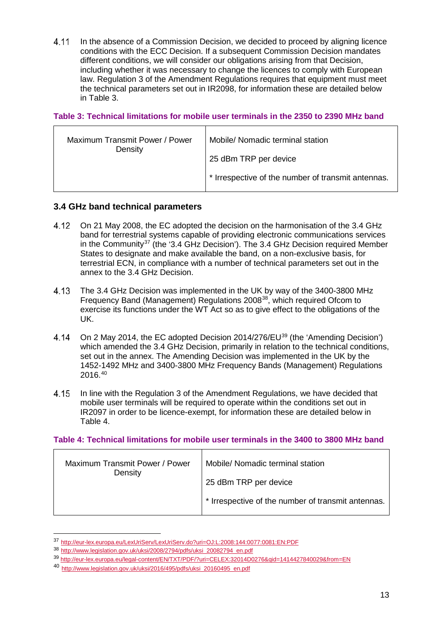$4.11$ In the absence of a Commission Decision, we decided to proceed by aligning licence conditions with the ECC Decision. If a subsequent Commission Decision mandates different conditions, we will consider our obligations arising from that Decision, including whether it was necessary to change the licences to comply with European law. Regulation 3 of the Amendment Regulations requires that equipment must meet the technical parameters set out in IR2098, for information these are detailed below in Table 3.

#### **Table 3: Technical limitations for mobile user terminals in the 2350 to 2390 MHz band**

| Maximum Transmit Power / Power<br>Density | Mobile/ Nomadic terminal station                   |
|-------------------------------------------|----------------------------------------------------|
|                                           | 25 dBm TRP per device                              |
|                                           | * Irrespective of the number of transmit antennas. |

#### **3.4 GHz band technical parameters**

- 4.12 On 21 May 2008, the EC adopted the decision on the harmonisation of the 3.4 GHz band for terrestrial systems capable of providing electronic communications services in the Community<sup>[37](#page-16-0)</sup> (the '3.4 GHz Decision'). The 3.4 GHz Decision required Member States to designate and make available the band, on a non-exclusive basis, for terrestrial ECN, in compliance with a number of technical parameters set out in the annex to the 3.4 GHz Decision.
- 4.13 The 3.4 GHz Decision was implemented in the UK by way of the 3400-3800 MHz Frequency Band (Management) Regulations 2008[38](#page-16-1), which required Ofcom to exercise its functions under the WT Act so as to give effect to the obligations of the UK.
- 4.14 On 2 May 2014, the EC adopted Decision 2014/276/EU<sup>[39](#page-16-2)</sup> (the 'Amending Decision') which amended the 3.4 GHz Decision, primarily in relation to the technical conditions. set out in the annex. The Amending Decision was implemented in the UK by the 1452-1492 MHz and 3400-3800 MHz Frequency Bands (Management) Regulations 2016. [40](#page-16-3)
- 4.15 In line with the Regulation 3 of the Amendment Regulations, we have decided that mobile user terminals will be required to operate within the conditions set out in IR2097 in order to be licence-exempt, for information these are detailed below in Table 4.

#### **Table 4: Technical limitations for mobile user terminals in the 3400 to 3800 MHz band**

| Maximum Transmit Power / Power<br>Density | Mobile/ Nomadic terminal station                   |
|-------------------------------------------|----------------------------------------------------|
|                                           | 25 dBm TRP per device                              |
|                                           | * Irrespective of the number of transmit antennas. |

<span id="page-16-0"></span> <sup>37</sup> <http://eur-lex.europa.eu/LexUriServ/LexUriServ.do?uri=OJ:L:2008:144:0077:0081:EN:PDF>

<span id="page-16-1"></span><sup>38</sup> [http://www.legislation.gov.uk/uksi/2008/2794/pdfs/uksi\\_20082794\\_en.pdf](http://www.legislation.gov.uk/uksi/2008/2794/pdfs/uksi_20082794_en.pdf)

<span id="page-16-2"></span><sup>39</sup> <http://eur-lex.europa.eu/legal-content/EN/TXT/PDF/?uri=CELEX:32014D0276&qid=1414427840029&from=EN>

<span id="page-16-3"></span><sup>40</sup> [http://www.legislation.gov.uk/uksi/2016/495/pdfs/uksi\\_20160495\\_en.pdf](http://www.legislation.gov.uk/uksi/2016/495/pdfs/uksi_20160495_en.pdf)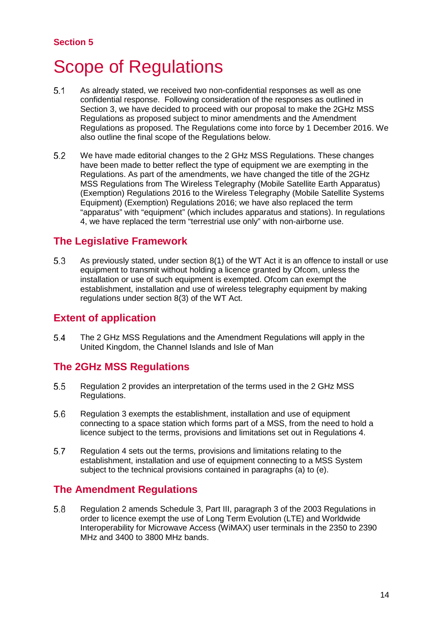## <span id="page-17-0"></span>5 Scope of Regulations

- $5.1$ As already stated, we received two non-confidential responses as well as one confidential response. Following consideration of the responses as outlined in Section 3, we have decided to proceed with our proposal to make the 2GHz MSS Regulations as proposed subject to minor amendments and the Amendment Regulations as proposed. The Regulations come into force by 1 December 2016. We also outline the final scope of the Regulations below.
- $5.2$ We have made editorial changes to the 2 GHz MSS Regulations. These changes have been made to better reflect the type of equipment we are exempting in the Regulations. As part of the amendments, we have changed the title of the 2GHz MSS Regulations from The Wireless Telegraphy (Mobile Satellite Earth Apparatus) (Exemption) Regulations 2016 to the Wireless Telegraphy (Mobile Satellite Systems Equipment) (Exemption) Regulations 2016; we have also replaced the term "apparatus" with "equipment" (which includes apparatus and stations). In regulations 4, we have replaced the term "terrestrial use only" with non-airborne use.

## **The Legislative Framework**

As previously stated, under section 8(1) of the WT Act it is an offence to install or use 5.3 equipment to transmit without holding a licence granted by Ofcom, unless the installation or use of such equipment is exempted. Ofcom can exempt the establishment, installation and use of wireless telegraphy equipment by making regulations under section 8(3) of the WT Act.

## **Extent of application**

5.4 The 2 GHz MSS Regulations and the Amendment Regulations will apply in the United Kingdom, the Channel Islands and Isle of Man

## **The 2GHz MSS Regulations**

- $5.5$ Regulation 2 provides an interpretation of the terms used in the 2 GHz MSS Regulations.
- 5.6 Regulation 3 exempts the establishment, installation and use of equipment connecting to a space station which forms part of a MSS, from the need to hold a licence subject to the terms, provisions and limitations set out in Regulations 4.
- 5.7 Regulation 4 sets out the terms, provisions and limitations relating to the establishment, installation and use of equipment connecting to a MSS System subject to the technical provisions contained in paragraphs (a) to (e).

## **The Amendment Regulations**

5.8 Regulation 2 amends Schedule 3, Part III, paragraph 3 of the 2003 Regulations in order to licence exempt the use of Long Term Evolution (LTE) and Worldwide Interoperability for Microwave Access (WiMAX) user terminals in the 2350 to 2390 MHz and 3400 to 3800 MHz bands.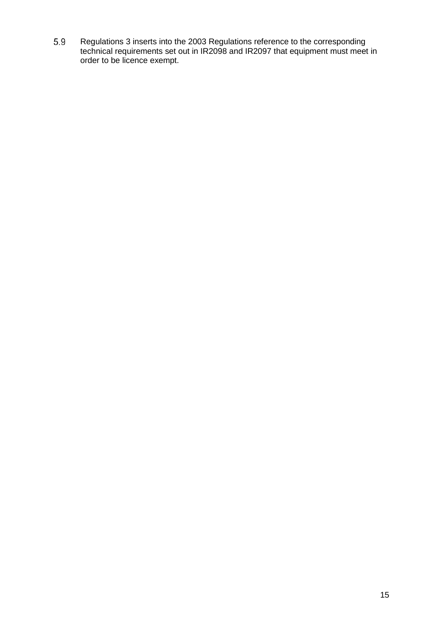5.9 Regulations 3 inserts into the 2003 Regulations reference to the corresponding technical requirements set out in IR2098 and IR2097 that equipment must meet in order to be licence exempt.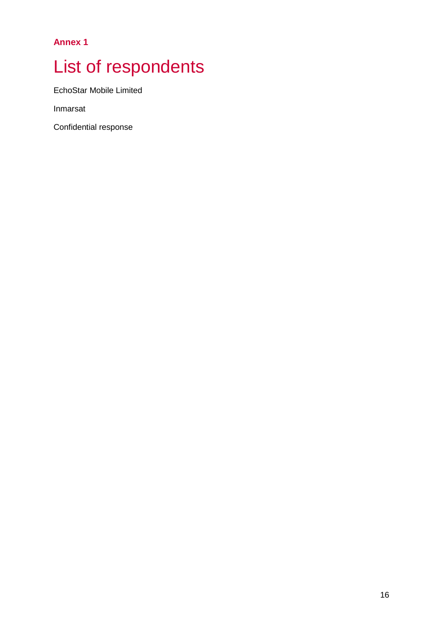**Annex 1**

# <span id="page-19-0"></span>List of respondents

EchoStar Mobile Limited

Inmarsat

Confidential response